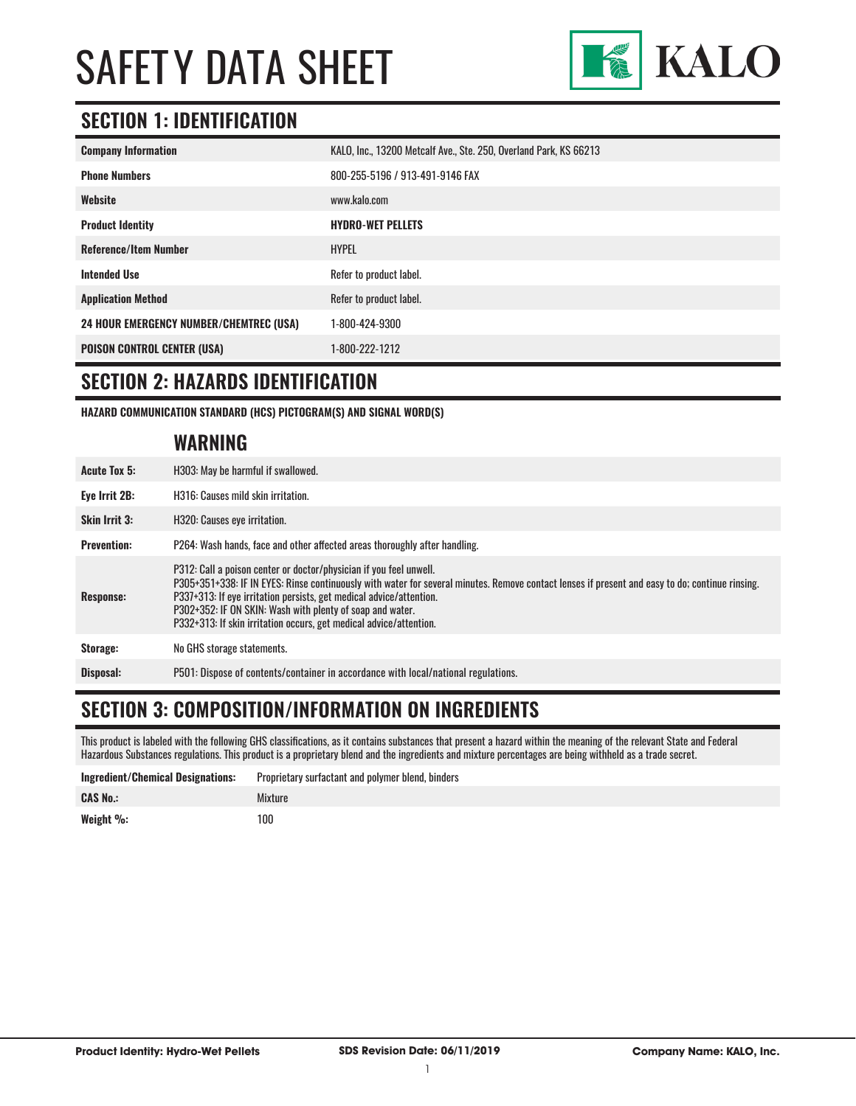

#### **SECTION 1: IDENTIFICATION**

| <b>Company Information</b>                     | KALO, Inc., 13200 Metcalf Ave., Ste. 250, Overland Park, KS 66213 |
|------------------------------------------------|-------------------------------------------------------------------|
| <b>Phone Numbers</b>                           | 800-255-5196 / 913-491-9146 FAX                                   |
| Website                                        | www.kalo.com                                                      |
| <b>Product Identity</b>                        | <b>HYDRO-WET PELLETS</b>                                          |
| <b>Reference/Item Number</b>                   | <b>HYPEL</b>                                                      |
| <b>Intended Use</b>                            | Refer to product label.                                           |
| <b>Application Method</b>                      | Refer to product label.                                           |
| <b>24 HOUR EMERGENCY NUMBER/CHEMTREC (USA)</b> | 1-800-424-9300                                                    |
| <b>POISON CONTROL CENTER (USA)</b>             | 1-800-222-1212                                                    |

#### **SECTION 2: HAZARDS IDENTIFICATION**

**HAZARD COMMUNICATION STANDARD (HCS) PICTOGRAM(S) AND SIGNAL WORD(S)**

#### **WARNING**

| <b>Acute Tox 5:</b>  | H303: May be harmful if swallowed.                                                                                                                                                                                                                                                                                                                                                                                              |
|----------------------|---------------------------------------------------------------------------------------------------------------------------------------------------------------------------------------------------------------------------------------------------------------------------------------------------------------------------------------------------------------------------------------------------------------------------------|
| Eye Irrit 2B:        | H316: Causes mild skin irritation.                                                                                                                                                                                                                                                                                                                                                                                              |
| <b>Skin Irrit 3:</b> | H320: Causes eye irritation.                                                                                                                                                                                                                                                                                                                                                                                                    |
| <b>Prevention:</b>   | P264: Wash hands, face and other affected areas thoroughly after handling.                                                                                                                                                                                                                                                                                                                                                      |
| Response:            | P312: Call a poison center or doctor/physician if you feel unwell.<br>P305+351+338: IF IN EYES: Rinse continuously with water for several minutes. Remove contact lenses if present and easy to do; continue rinsing.<br>P337+313: If eye irritation persists, get medical advice/attention.<br>P302+352: IF ON SKIN: Wash with plenty of soap and water.<br>P332+313: If skin irritation occurs, get medical advice/attention. |
| Storage:             | No GHS storage statements.                                                                                                                                                                                                                                                                                                                                                                                                      |
| Disposal:            | P501: Dispose of contents/container in accordance with local/national regulations.                                                                                                                                                                                                                                                                                                                                              |

#### **SECTION 3: COMPOSITION/INFORMATION ON INGREDIENTS**

This product is labeled with the following GHS classifications, as it contains substances that present a hazard within the meaning of the relevant State and Federal Hazardous Substances regulations. This product is a proprietary blend and the ingredients and mixture percentages are being withheld as a trade secret.

| <b>Ingredient/Chemical Designations:</b> | Proprietary surfactant and polymer blend, binders |
|------------------------------------------|---------------------------------------------------|
| <b>CAS No.:</b>                          | Mixture                                           |
| Weight %:                                | 100                                               |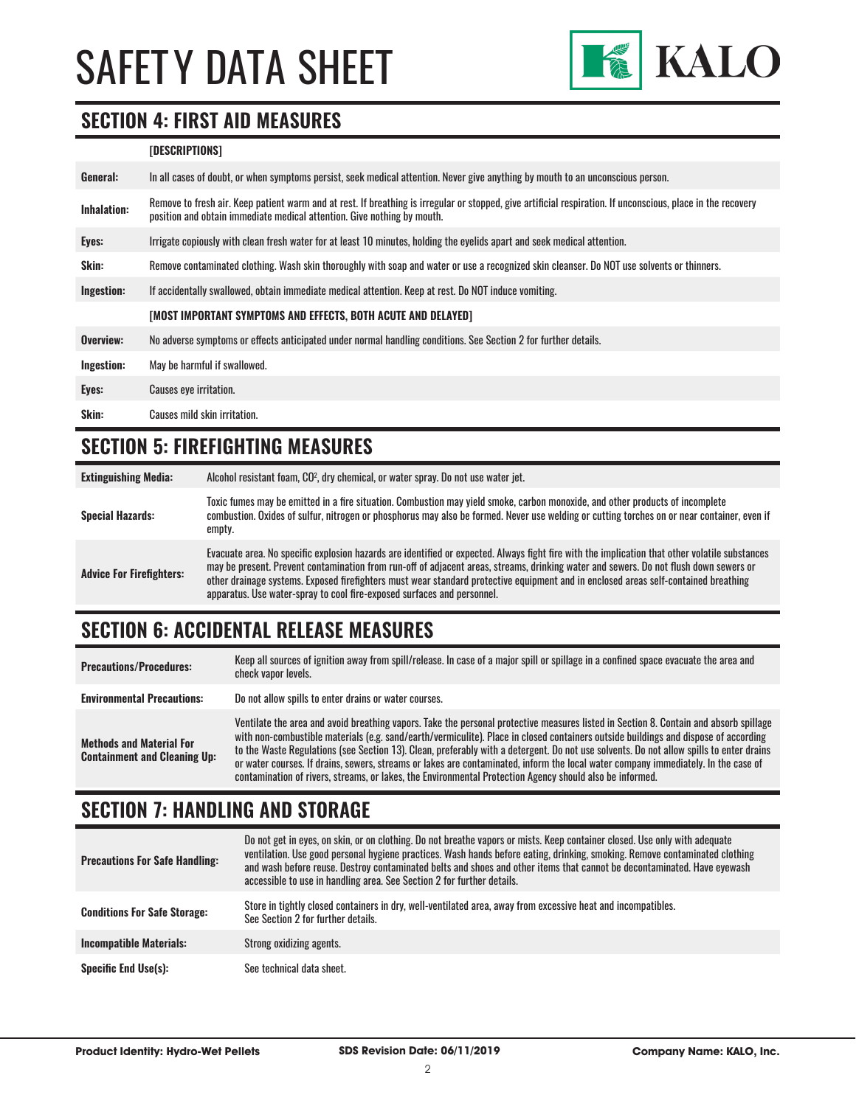

#### **SECTION 4: FIRST AID MEASURES**

#### **[DESCRIPTIONS]**

| General:           | In all cases of doubt, or when symptoms persist, seek medical attention. Never give anything by mouth to an unconscious person.                                                                                                         |
|--------------------|-----------------------------------------------------------------------------------------------------------------------------------------------------------------------------------------------------------------------------------------|
| <b>Inhalation:</b> | Remove to fresh air. Keep patient warm and at rest. If breathing is irregular or stopped, give artificial respiration. If unconscious, place in the recovery<br>position and obtain immediate medical attention. Give nothing by mouth. |
| Eyes:              | Irrigate copiously with clean fresh water for at least 10 minutes, holding the eyelids apart and seek medical attention.                                                                                                                |
| Skin:              | Remove contaminated clothing. Wash skin thoroughly with soap and water or use a recognized skin cleanser. Do NOT use solvents or thinners.                                                                                              |
| Ingestion:         | If accidentally swallowed, obtain immediate medical attention. Keep at rest. Do NOT induce vomiting.                                                                                                                                    |
|                    | [MOST IMPORTANT SYMPTOMS AND EFFECTS, BOTH ACUTE AND DELAYED]                                                                                                                                                                           |
| Overview:          | No adverse symptoms or effects anticipated under normal handling conditions. See Section 2 for further details.                                                                                                                         |
| Ingestion:         | May be harmful if swallowed.                                                                                                                                                                                                            |
| Eyes:              | <b>Causes eye irritation.</b>                                                                                                                                                                                                           |
| Skin:              | Causes mild skin irritation.                                                                                                                                                                                                            |

#### **SECTION 5: FIREFIGHTING MEASURES**

| <b>Extinguishing Media:</b>     | Alcohol resistant foam, CO <sup>2</sup> , dry chemical, or water spray. Do not use water jet.                                                                                                                                                                                                                                                                                                                                                                                                             |
|---------------------------------|-----------------------------------------------------------------------------------------------------------------------------------------------------------------------------------------------------------------------------------------------------------------------------------------------------------------------------------------------------------------------------------------------------------------------------------------------------------------------------------------------------------|
| <b>Special Hazards:</b>         | Toxic fumes may be emitted in a fire situation. Combustion may yield smoke, carbon monoxide, and other products of incomplete<br>combustion. Oxides of sulfur, nitrogen or phosphorus may also be formed. Never use welding or cutting torches on or near container, even if<br>empty.                                                                                                                                                                                                                    |
| <b>Advice For Firefighters:</b> | Evacuate area. No specific explosion hazards are identified or expected. Always fight fire with the implication that other volatile substances<br>may be present. Prevent contamination from run-off of adjacent areas, streams, drinking water and sewers. Do not flush down sewers or<br>other drainage systems. Exposed firefighters must wear standard protective equipment and in enclosed areas self-contained breathing<br>apparatus. Use water-spray to cool fire-exposed surfaces and personnel. |

### **SECTION 6: ACCIDENTAL RELEASE MEASURES**

| <b>Precautions/Procedures:</b>                                         | Keep all sources of ignition away from spill/release. In case of a major spill or spillage in a confined space evacuate the area and<br>check vapor levels.                                                                                                                                                                                                                                                                                                                                                                                                                                                                                                               |
|------------------------------------------------------------------------|---------------------------------------------------------------------------------------------------------------------------------------------------------------------------------------------------------------------------------------------------------------------------------------------------------------------------------------------------------------------------------------------------------------------------------------------------------------------------------------------------------------------------------------------------------------------------------------------------------------------------------------------------------------------------|
| <b>Environmental Precautions:</b>                                      | Do not allow spills to enter drains or water courses.                                                                                                                                                                                                                                                                                                                                                                                                                                                                                                                                                                                                                     |
| <b>Methods and Material For</b><br><b>Containment and Cleaning Up:</b> | Ventilate the area and avoid breathing vapors. Take the personal protective measures listed in Section 8. Contain and absorb spillage<br>with non-combustible materials (e.g. sand/earth/vermiculite). Place in closed containers outside buildings and dispose of according<br>to the Waste Regulations (see Section 13). Clean, preferably with a detergent. Do not use solvents. Do not allow spills to enter drains<br>or water courses. If drains, sewers, streams or lakes are contaminated, inform the local water company immediately. In the case of<br>contamination of rivers, streams, or lakes, the Environmental Protection Agency should also be informed. |

### **SECTION 7: HANDLING AND STORAGE**

| <b>Precautions For Safe Handling:</b> | Do not get in eyes, on skin, or on clothing. Do not breathe vapors or mists. Keep container closed. Use only with adequate<br>ventilation. Use good personal hygiene practices. Wash hands before eating, drinking, smoking. Remove contaminated clothing<br>and wash before reuse. Destroy contaminated belts and shoes and other items that cannot be decontaminated. Have eyewash<br>accessible to use in handling area. See Section 2 for further details. |
|---------------------------------------|----------------------------------------------------------------------------------------------------------------------------------------------------------------------------------------------------------------------------------------------------------------------------------------------------------------------------------------------------------------------------------------------------------------------------------------------------------------|
| <b>Conditions For Safe Storage:</b>   | Store in tightly closed containers in dry, well-ventilated area, away from excessive heat and incompatibles.<br>See Section 2 for further details.                                                                                                                                                                                                                                                                                                             |
| <b>Incompatible Materials:</b>        | Strong oxidizing agents.                                                                                                                                                                                                                                                                                                                                                                                                                                       |
| <b>Specific End Use(s):</b>           | See technical data sheet.                                                                                                                                                                                                                                                                                                                                                                                                                                      |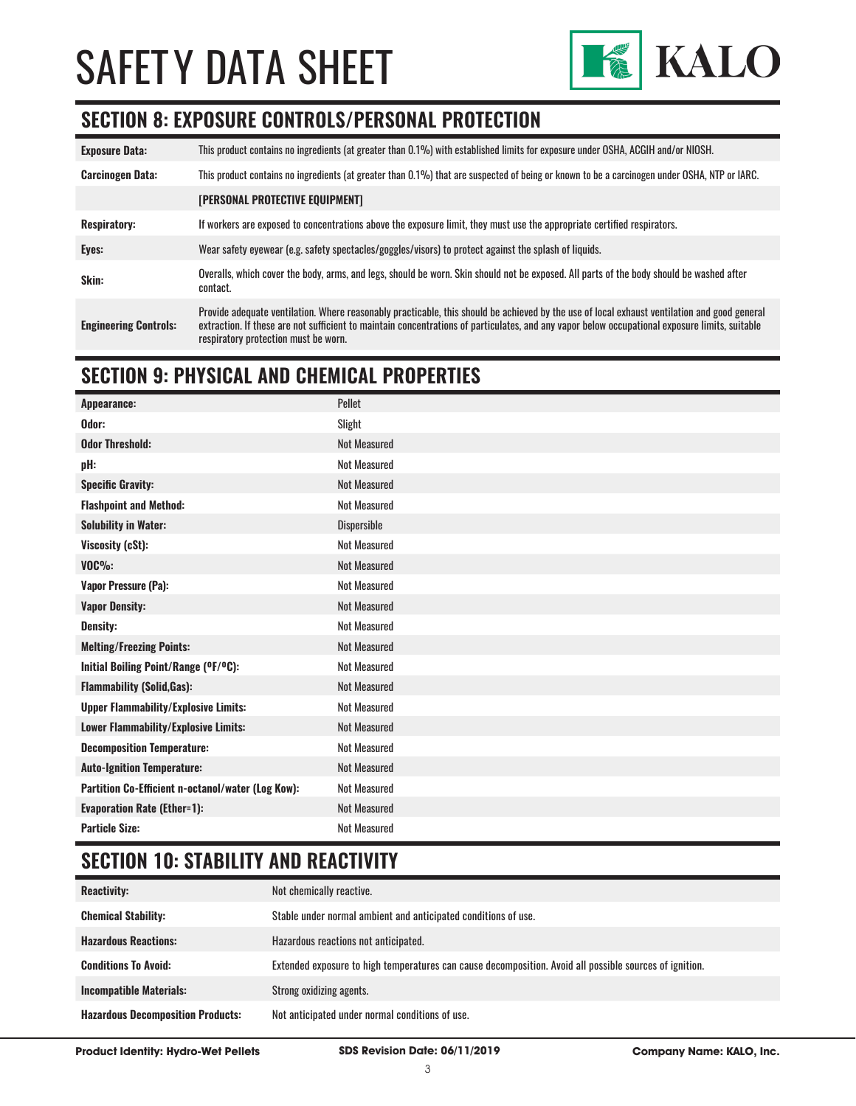

#### **SECTION 8: EXPOSURE CONTROLS/PERSONAL PROTECTION**

| <b>Exposure Data:</b>        | This product contains no ingredients (at greater than 0.1%) with established limits for exposure under OSHA, ACGIH and/or NIOSH.                                                                                                                                                                                                       |
|------------------------------|----------------------------------------------------------------------------------------------------------------------------------------------------------------------------------------------------------------------------------------------------------------------------------------------------------------------------------------|
| <b>Carcinogen Data:</b>      | This product contains no ingredients (at greater than 0.1%) that are suspected of being or known to be a carcinogen under OSHA, NTP or IARC.                                                                                                                                                                                           |
|                              | [PERSONAL PROTECTIVE EQUIPMENT]                                                                                                                                                                                                                                                                                                        |
| <b>Respiratory:</b>          | If workers are exposed to concentrations above the exposure limit, they must use the appropriate certified respirators.                                                                                                                                                                                                                |
| Eyes:                        | Wear safety eyewear (e.g. safety spectacles/goggles/visors) to protect against the splash of liquids.                                                                                                                                                                                                                                  |
| Skin:                        | Overalls, which cover the body, arms, and legs, should be worn. Skin should not be exposed. All parts of the body should be washed after<br>contact.                                                                                                                                                                                   |
| <b>Engineering Controls:</b> | Provide adequate ventilation. Where reasonably practicable, this should be achieved by the use of local exhaust ventilation and good general<br>extraction. If these are not sufficient to maintain concentrations of particulates, and any vapor below occupational exposure limits, suitable<br>respiratory protection must be worn. |

#### **SECTION 9: PHYSICAL AND CHEMICAL PROPERTIES**

| Appearance:                                       | Pellet              |
|---------------------------------------------------|---------------------|
| Odor:                                             | Slight              |
| <b>Odor Threshold:</b>                            | <b>Not Measured</b> |
| pH:                                               | <b>Not Measured</b> |
| <b>Specific Gravity:</b>                          | <b>Not Measured</b> |
| <b>Flashpoint and Method:</b>                     | <b>Not Measured</b> |
| <b>Solubility in Water:</b>                       | Dispersible         |
| Viscosity (cSt):                                  | <b>Not Measured</b> |
| $VOC\%$ :                                         | <b>Not Measured</b> |
| <b>Vapor Pressure (Pa):</b>                       | <b>Not Measured</b> |
| <b>Vapor Density:</b>                             | <b>Not Measured</b> |
| <b>Density:</b>                                   | <b>Not Measured</b> |
| <b>Melting/Freezing Points:</b>                   | <b>Not Measured</b> |
| Initial Boiling Point/Range (°F/°C):              | <b>Not Measured</b> |
| <b>Flammability (Solid, Gas):</b>                 | <b>Not Measured</b> |
| <b>Upper Flammability/Explosive Limits:</b>       | <b>Not Measured</b> |
| Lower Flammability/Explosive Limits:              | <b>Not Measured</b> |
| <b>Decomposition Temperature:</b>                 | <b>Not Measured</b> |
| <b>Auto-Ignition Temperature:</b>                 | <b>Not Measured</b> |
| Partition Co-Efficient n-octanol/water (Log Kow): | <b>Not Measured</b> |
| <b>Evaporation Rate (Ether=1):</b>                | <b>Not Measured</b> |
| <b>Particle Size:</b>                             | <b>Not Measured</b> |

### **SECTION 10: STABILITY AND REACTIVITY**

| <b>Reactivity:</b>                       | Not chemically reactive.                                                                                |
|------------------------------------------|---------------------------------------------------------------------------------------------------------|
| <b>Chemical Stability:</b>               | Stable under normal ambient and anticipated conditions of use.                                          |
| <b>Hazardous Reactions:</b>              | Hazardous reactions not anticipated.                                                                    |
| <b>Conditions To Avoid:</b>              | Extended exposure to high temperatures can cause decomposition. Avoid all possible sources of ignition. |
| <b>Incompatible Materials:</b>           | Strong oxidizing agents.                                                                                |
| <b>Hazardous Decomposition Products:</b> | Not anticipated under normal conditions of use.                                                         |

**Product Identity: Hydro-Wet Pellets SDS Revision Date: 06/11/2019 Company Name: KALO, Inc.**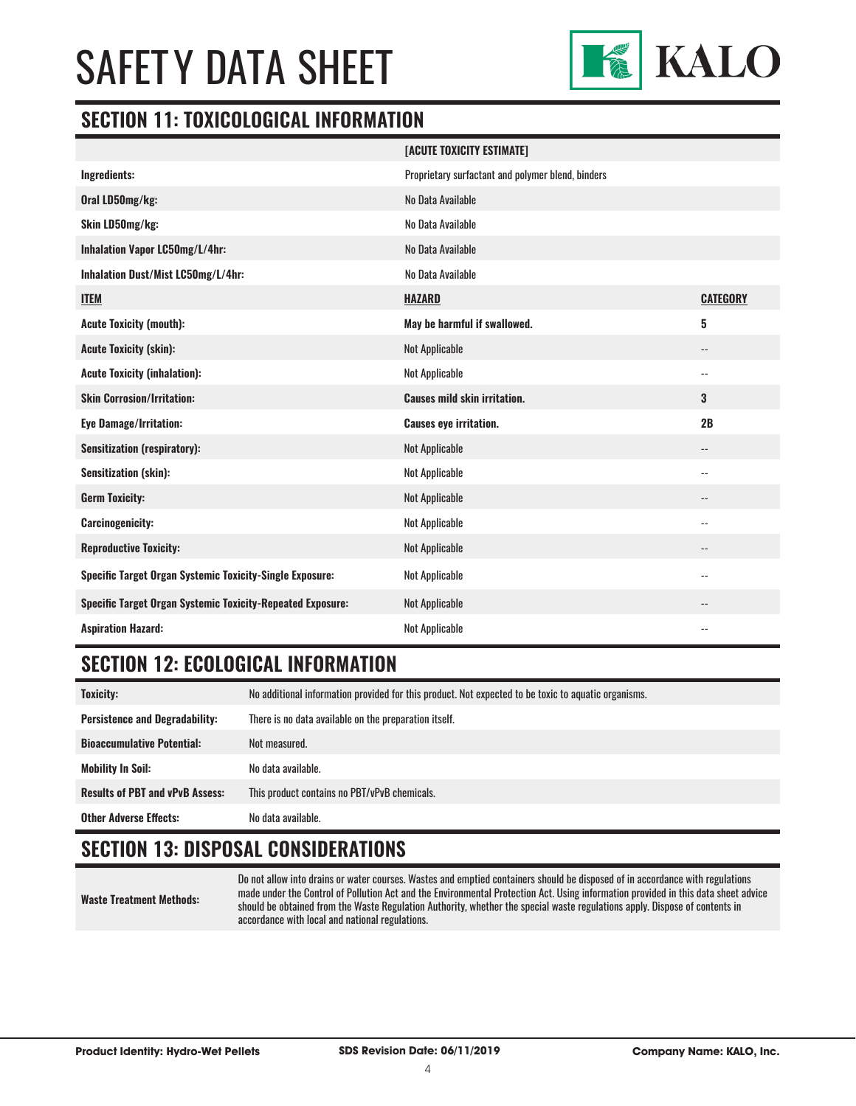

#### **SECTION 11: TOXICOLOGICAL INFORMATION**

|                                                                   | [ACUTE TOXICITY ESTIMATE]                         |                            |
|-------------------------------------------------------------------|---------------------------------------------------|----------------------------|
| Ingredients:                                                      | Proprietary surfactant and polymer blend, binders |                            |
| Oral LD50mg/kg:                                                   | No Data Available                                 |                            |
| Skin LD50mg/kg:                                                   | No Data Available                                 |                            |
| Inhalation Vapor LC50mg/L/4hr:                                    | No Data Available                                 |                            |
| Inhalation Dust/Mist LC50mg/L/4hr:                                | No Data Available                                 |                            |
| <b>ITEM</b>                                                       | <b>HAZARD</b>                                     | <b>CATEGORY</b>            |
| <b>Acute Toxicity (mouth):</b>                                    | May be harmful if swallowed.                      | 5                          |
| <b>Acute Toxicity (skin):</b>                                     | Not Applicable                                    | $\overline{\phantom{a}}$   |
| <b>Acute Toxicity (inhalation):</b>                               | Not Applicable                                    | $\overline{\phantom{a}}$ . |
| <b>Skin Corrosion/Irritation:</b>                                 | <b>Causes mild skin irritation.</b>               | 3                          |
| <b>Eye Damage/Irritation:</b>                                     | <b>Causes eye irritation.</b>                     | 2B                         |
| <b>Sensitization (respiratory):</b>                               | Not Applicable                                    | $\overline{\phantom{a}}$   |
| <b>Sensitization (skin):</b>                                      | Not Applicable                                    | $\overline{\phantom{a}}$   |
| <b>Germ Toxicity:</b>                                             | Not Applicable                                    | $\qquad \qquad -$          |
| <b>Carcinogenicity:</b>                                           | Not Applicable                                    | $-$                        |
| <b>Reproductive Toxicity:</b>                                     | Not Applicable                                    | $\overline{\phantom{a}}$   |
| Specific Target Organ Systemic Toxicity-Single Exposure:          | Not Applicable                                    | $-$                        |
| <b>Specific Target Organ Systemic Toxicity-Repeated Exposure:</b> | Not Applicable                                    |                            |
| <b>Aspiration Hazard:</b>                                         | Not Applicable                                    | $\overline{a}$             |

#### **SECTION 12: ECOLOGICAL INFORMATION**

| Toxicity:                              | No additional information provided for this product. Not expected to be toxic to aquatic organisms. |
|----------------------------------------|-----------------------------------------------------------------------------------------------------|
| <b>Persistence and Degradability:</b>  | There is no data available on the preparation itself.                                               |
| <b>Bioaccumulative Potential:</b>      | Not measured.                                                                                       |
| <b>Mobility In Soil:</b>               | No data available.                                                                                  |
| <b>Results of PBT and vPvB Assess:</b> | This product contains no PBT/vPvB chemicals.                                                        |
| <b>Other Adverse Effects:</b>          | No data available.                                                                                  |

#### **SECTION 13: DISPOSAL CONSIDERATIONS**

**Waste Treatment Methods:**

Do not allow into drains or water courses. Wastes and emptied containers should be disposed of in accordance with regulations made under the Control of Pollution Act and the Environmental Protection Act. Using information provided in this data sheet advice should be obtained from the Waste Regulation Authority, whether the special waste regulations apply. Dispose of contents in accordance with local and national regulations.